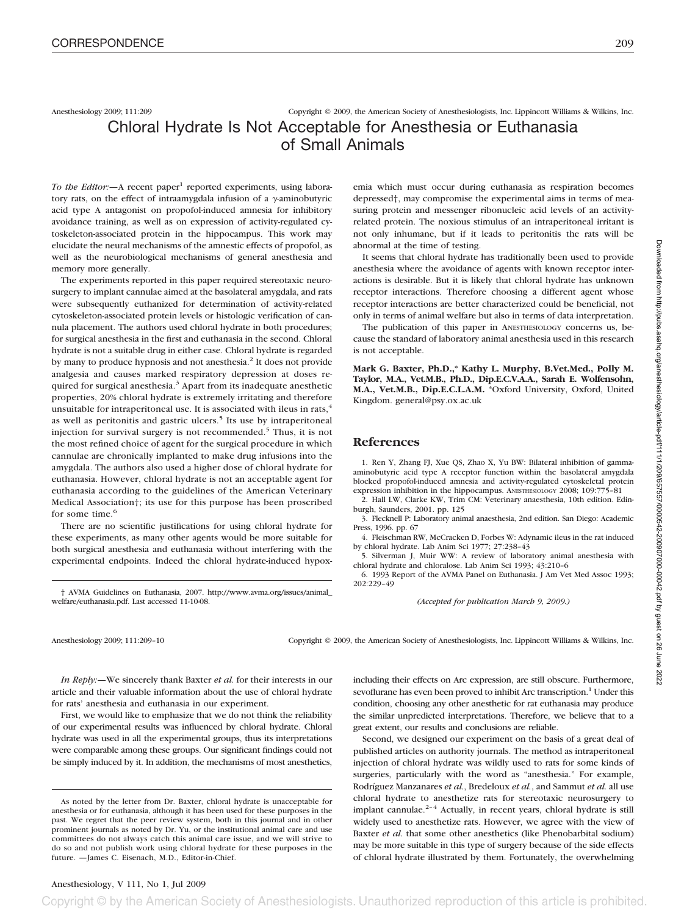Anesthesiology 2009; 111:209 Copyright © 2009, the American Society of Anesthesiologists, Inc. Lippincott Williams & Wilkins, Inc.

## Chloral Hydrate Is Not Acceptable for Anesthesia or Euthanasia of Small Animals

*To the Editor*: - A recent paper<sup>1</sup> reported experiments, using laboratory rats, on the effect of intraamygdala infusion of a  $\gamma$ -aminobutyric acid type A antagonist on propofol-induced amnesia for inhibitory avoidance training, as well as on expression of activity-regulated cytoskeleton-associated protein in the hippocampus. This work may elucidate the neural mechanisms of the amnestic effects of propofol, as well as the neurobiological mechanisms of general anesthesia and memory more generally.

The experiments reported in this paper required stereotaxic neurosurgery to implant cannulae aimed at the basolateral amygdala, and rats were subsequently euthanized for determination of activity-related cytoskeleton-associated protein levels or histologic verification of cannula placement. The authors used chloral hydrate in both procedures; for surgical anesthesia in the first and euthanasia in the second. Chloral hydrate is not a suitable drug in either case. Chloral hydrate is regarded by many to produce hypnosis and not anesthesia.<sup>2</sup> It does not provide analgesia and causes marked respiratory depression at doses required for surgical anesthesia.<sup>3</sup> Apart from its inadequate anesthetic properties, 20% chloral hydrate is extremely irritating and therefore unsuitable for intraperitoneal use. It is associated with ileus in rats,<sup>4</sup> as well as peritonitis and gastric ulcers.<sup>5</sup> Its use by intraperitoneal injection for survival surgery is not recommended.<sup>5</sup> Thus, it is not the most refined choice of agent for the surgical procedure in which cannulae are chronically implanted to make drug infusions into the amygdala. The authors also used a higher dose of chloral hydrate for euthanasia. However, chloral hydrate is not an acceptable agent for euthanasia according to the guidelines of the American Veterinary Medical Association†; its use for this purpose has been proscribed for some time.<sup>6</sup>

There are no scientific justifications for using chloral hydrate for these experiments, as many other agents would be more suitable for both surgical anesthesia and euthanasia without interfering with the experimental endpoints. Indeed the chloral hydrate-induced hypox-

† AVMA Guidelines on Euthanasia, 2007. http://www.avma.org/issues/animal\_ welfare/euthanasia.pdf. Last accessed 11-10-08.

emia which must occur during euthanasia as respiration becomes depressed†, may compromise the experimental aims in terms of measuring protein and messenger ribonucleic acid levels of an activityrelated protein. The noxious stimulus of an intraperitoneal irritant is not only inhumane, but if it leads to peritonitis the rats will be abnormal at the time of testing.

It seems that chloral hydrate has traditionally been used to provide anesthesia where the avoidance of agents with known receptor interactions is desirable. But it is likely that chloral hydrate has unknown receptor interactions. Therefore choosing a different agent whose receptor interactions are better characterized could be beneficial, not only in terms of animal welfare but also in terms of data interpretation.

The publication of this paper in ANESTHESIOLOGY concerns us, because the standard of laboratory animal anesthesia used in this research is not acceptable.

**Mark G. Baxter, Ph.D.,\* Kathy L. Murphy, B.Vet.Med., Polly M. Taylor, M.A., Vet.M.B., Ph.D., Dip.E.C.V.A.A., Sarah E. Wolfensohn, M.A., Vet.M.B., Dip.E.C.L.A.M.** \*Oxford University, Oxford, United Kingdom. general@psy.ox.ac.uk

## **References**

1. Ren Y, Zhang FJ, Xue QS, Zhao X, Yu BW: Bilateral inhibition of gammaaminobutyric acid type A receptor function within the basolateral amygdala blocked propofol-induced amnesia and activity-regulated cytoskeletal protein expression inhibition in the hippocampus. ANESTHESIOLOGY 2008; 109:775–81

2. Hall LW, Clarke KW, Trim CM: Veterinary anaesthesia, 10th edition. Edinburgh, Saunders, 2001. pp. 125

3. Flecknell P: Laboratory animal anaesthesia, 2nd edition. San Diego: Academic Press, 1996. pp. 67

4. Fleischman RW, McCracken D, Forbes W: Adynamic ileus in the rat induced by chloral hydrate. Lab Anim Sci 1977; 27:238–43

5. Silverman J, Muir WW: A review of laboratory animal anesthesia with chloral hydrate and chloralose. Lab Anim Sci 1993; 43:210–6

6. 1993 Report of the AVMA Panel on Euthanasia. J Am Vet Med Assoc 1993; 202:229–49

*(Accepted for publication March 9, 2009.)*

Anesthesiology 2009; 111:209–10 Copyright © 2009, the American Society of Anesthesiologists, Inc. Lippincott Williams & Wilkins, Inc.

*In Reply:—*We sincerely thank Baxter *et al.* for their interests in our article and their valuable information about the use of chloral hydrate for rats' anesthesia and euthanasia in our experiment.

First, we would like to emphasize that we do not think the reliability of our experimental results was influenced by chloral hydrate. Chloral hydrate was used in all the experimental groups, thus its interpretations were comparable among these groups. Our significant findings could not be simply induced by it. In addition, the mechanisms of most anesthetics,

As noted by the letter from Dr. Baxter, chloral hydrate is unacceptable for anesthesia or for euthanasia, although it has been used for these purposes in the past. We regret that the peer review system, both in this journal and in other prominent journals as noted by Dr. Yu, or the institutional animal care and use committees do not always catch this animal care issue, and we will strive to do so and not publish work using chloral hydrate for these purposes in the future. —James C. Eisenach, M.D., Editor-in-Chief.

including their effects on Arc expression, are still obscure. Furthermore, sevoflurane has even been proved to inhibit Arc transcription.<sup>1</sup> Under this condition, choosing any other anesthetic for rat euthanasia may produce the similar unpredicted interpretations. Therefore, we believe that to a great extent, our results and conclusions are reliable.

Second, we designed our experiment on the basis of a great deal of published articles on authority journals. The method as intraperitoneal injection of chloral hydrate was wildly used to rats for some kinds of surgeries, particularly with the word as "anesthesia." For example, Rodríguez Manzanares *et al.*, Bredeloux *et al.*, and Sammut *et al.* all use chloral hydrate to anesthetize rats for stereotaxic neurosurgery to implant cannulae.<sup>2-4</sup> Actually, in recent years, chloral hydrate is still widely used to anesthetize rats. However, we agree with the view of Baxter *et al.* that some other anesthetics (like Phenobarbital sodium) may be more suitable in this type of surgery because of the side effects of chloral hydrate illustrated by them. Fortunately, the overwhelming

Copyright © by the American Society of Anesthesiologists. Unauthorized reproduction of this article is prohibited.